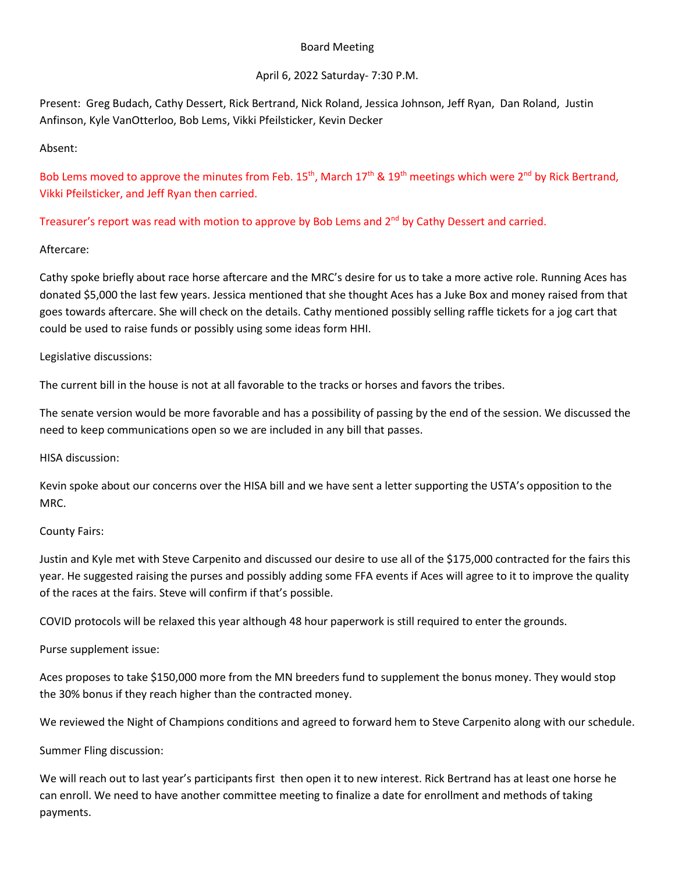### Board Meeting

# April 6, 2022 Saturday- 7:30 P.M.

Present: Greg Budach, Cathy Dessert, Rick Bertrand, Nick Roland, Jessica Johnson, Jeff Ryan, Dan Roland, Justin Anfinson, Kyle VanOtterloo, Bob Lems, Vikki Pfeilsticker, Kevin Decker

Absent:

Bob Lems moved to approve the minutes from Feb.  $15^{th}$ , March  $17^{th}$  &  $19^{th}$  meetings which were  $2^{nd}$  by Rick Bertrand, Vikki Pfeilsticker, and Jeff Ryan then carried.

Treasurer's report was read with motion to approve by Bob Lems and 2<sup>nd</sup> by Cathy Dessert and carried.

# Aftercare:

Cathy spoke briefly about race horse aftercare and the MRC's desire for us to take a more active role. Running Aces has donated \$5,000 the last few years. Jessica mentioned that she thought Aces has a Juke Box and money raised from that goes towards aftercare. She will check on the details. Cathy mentioned possibly selling raffle tickets for a jog cart that could be used to raise funds or possibly using some ideas form HHI.

# Legislative discussions:

The current bill in the house is not at all favorable to the tracks or horses and favors the tribes.

The senate version would be more favorable and has a possibility of passing by the end of the session. We discussed the need to keep communications open so we are included in any bill that passes.

HISA discussion:

Kevin spoke about our concerns over the HISA bill and we have sent a letter supporting the USTA's opposition to the MRC.

# County Fairs:

Justin and Kyle met with Steve Carpenito and discussed our desire to use all of the \$175,000 contracted for the fairs this year. He suggested raising the purses and possibly adding some FFA events if Aces will agree to it to improve the quality of the races at the fairs. Steve will confirm if that's possible.

COVID protocols will be relaxed this year although 48 hour paperwork is still required to enter the grounds.

Purse supplement issue:

Aces proposes to take \$150,000 more from the MN breeders fund to supplement the bonus money. They would stop the 30% bonus if they reach higher than the contracted money.

We reviewed the Night of Champions conditions and agreed to forward hem to Steve Carpenito along with our schedule.

Summer Fling discussion:

We will reach out to last year's participants first then open it to new interest. Rick Bertrand has at least one horse he can enroll. We need to have another committee meeting to finalize a date for enrollment and methods of taking payments.